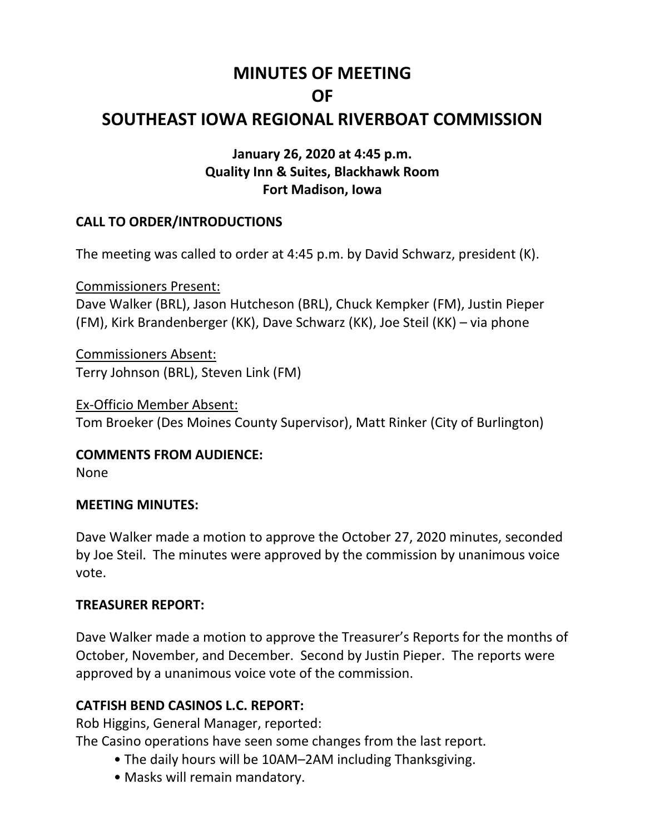# **MINUTES OF MEETING OF**

# **SOUTHEAST IOWA REGIONAL RIVERBOAT COMMISSION**

#### **January 26, 2020 at 4:45 p.m. Quality Inn & Suites, Blackhawk Room Fort Madison, Iowa**

#### **CALL TO ORDER/INTRODUCTIONS**

The meeting was called to order at 4:45 p.m. by David Schwarz, president (K).

Commissioners Present: Dave Walker (BRL), Jason Hutcheson (BRL), Chuck Kempker (FM), Justin Pieper (FM), Kirk Brandenberger (KK), Dave Schwarz (KK), Joe Steil (KK) – via phone

Commissioners Absent: Terry Johnson (BRL), Steven Link (FM)

Ex-Officio Member Absent: Tom Broeker (Des Moines County Supervisor), Matt Rinker (City of Burlington)

**COMMENTS FROM AUDIENCE:**

None

#### **MEETING MINUTES:**

Dave Walker made a motion to approve the October 27, 2020 minutes, seconded by Joe Steil. The minutes were approved by the commission by unanimous voice vote.

#### **TREASURER REPORT:**

Dave Walker made a motion to approve the Treasurer's Reports for the months of October, November, and December. Second by Justin Pieper. The reports were approved by a unanimous voice vote of the commission.

## **CATFISH BEND CASINOS L.C. REPORT:**

Rob Higgins, General Manager, reported:

The Casino operations have seen some changes from the last report.

- The daily hours will be 10AM–2AM including Thanksgiving.
- Masks will remain mandatory.